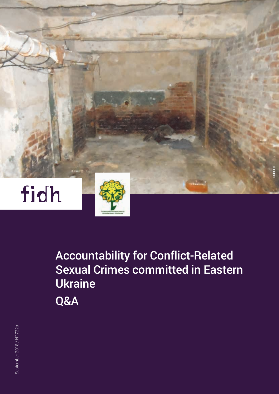



Accountability for Conflict-Related Sexual Crimes committed in Eastern Ukraine Q&A

**© EUCCI**® Eucci

September 2018 / N° 722a September 2018 / N° 722a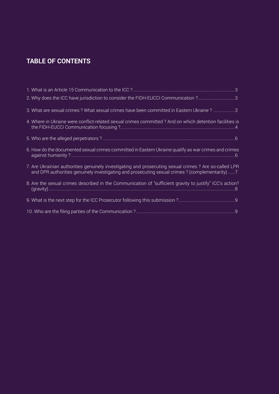#### **Table of Contents**

| 2. Why does the ICC have jurisdiction to consider the FIDH-EUCCI Communication ?3                                                                                                                        |  |
|----------------------------------------------------------------------------------------------------------------------------------------------------------------------------------------------------------|--|
| 3. What are sexual crimes ? What sexual crimes have been committed in Eastern Ukraine ? 3                                                                                                                |  |
| 4. Where in Ukraine were conflict-related sexual crimes committed? And on which detention facilities is                                                                                                  |  |
|                                                                                                                                                                                                          |  |
| 6. How do the documented sexual crimes committed in Eastern Ukraine qualify as war crimes and crimes                                                                                                     |  |
| 7. Are Ukrainian authorities genuinely investigating and prosecuting sexual crimes? Are so-called LPR<br>and DPR authorities genuinely investigating and prosecuting sexual crimes? (complementarity)  7 |  |
| 8. Are the sexual crimes described in the Communication of "sufficient gravity to justify" ICC's action?                                                                                                 |  |
|                                                                                                                                                                                                          |  |
|                                                                                                                                                                                                          |  |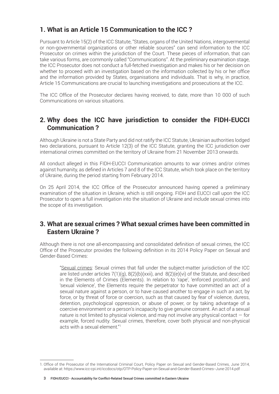#### **1. What is an Article 15 Communication to the ICC ?**

Pursuant to Article 15(2) of the ICC Statute, "States, organs of the United Nations, intergovermental or non-governmental organizations or other reliable sources" can send information to the ICC Prosecutor on crimes within the jurisdiction of the Court. These pieces of information, that can take various forms, are commonly called "Communications". At the preliminary examination stage, the ICC Prosecutor does not conduct a full-fetched investigation and makes his or her decision on whether to proceed with an investigation based on the information collected by his or her office and the information provided by States, organisations and individuals. That is why, in practice, Article 15 Communications are crucial to launching investigations and prosecutions at the ICC.

The ICC Office of the Prosecutor declares having received, to date, more than 10 000 of such Communications on various situations.

#### **2. Why does the ICC have jurisdiction to consider the FIDH-EUCCI Communication ?**

Although Ukraine is not a State Party and did not ratify the ICC Statute, Ukrainian authorities lodged two declarations, pursuant to Article 12(3) of the ICC Statute, granting the ICC jurisdiction over international crimes committed on the territory of Ukraine from 21 November 2013 onwards.

All conduct alleged in this FIDH-EUCCI Communication amounts to war crimes and/or crimes against humanity, as defined in Articles 7 and 8 of the ICC Statute, which took place on the territory of Ukraine, during the period starting from February 2014.

On 25 April 2014, the ICC Office of the Prosecutor announced having opened a preliminary examination of the situation in Ukraine, which is still ongoing. FIDH and EUCCI call upon the ICC Prosecutor to open a full investigation into the situation of Ukraine and include sexual crimes into the scope of its investigation.

#### **3. What are sexual crimes ? What sexual crimes have been committed in Eastern Ukraine ?**

Although there is not one all-encompassing and consolidated definition of sexual crimes, the ICC Office of the Prosecutor provides the following definition in its 2014 Policy Paper on Sexual and Gender-Based Crimes:

"Sexual crimes: Sexual crimes that fall under the subject-matter jurisdiction of the ICC are listed under articles 7(1)(g), 8(2)(b)(xxii), and 8(2)(e)(vi) of the Statute, and described in the Elements of Crimes (Elements). In relation to 'rape', 'enforced prostitution', and 'sexual violence', the Elements require the perpetrator to have committed an act of a sexual nature against a person, or to have caused another to engage in such an act, by force, or by threat of force or coercion, such as that caused by fear of violence, duress, detention, psychological oppression, or abuse of power, or by taking advantage of a coercive environment or a person's incapacity to give genuine consent. An act of a sexual nature is not limited to physical violence, and may not involve any physical contact — for example, forced nudity. Sexual crimes, therefore, cover both physical and non-physical acts with a sexual element."<sup>1</sup>

<sup>1.</sup> Office of the Prosecutor of the International Criminal Court, Policy Paper on Sexual and Gender-Based Crimes, June 2014, available at: <https://www.icc-cpi.int/iccdocs/otp/OTP-Policy-Paper-on-Sexual-and-Gender-Based-Crimes--June-2014.pdf>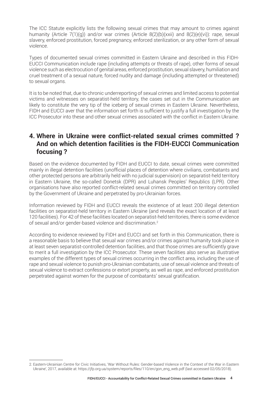The ICC Statute explicitly lists the following sexual crimes that may amount to crimes against humanity (Article 7(1)(g)) and/or war crimes (Article 8(2)(b)(xxii) and 8(2)(e)(vi)): rape, sexual slavery, enforced prostitution, forced pregnancy, enforced sterilization, or any other form of sexual violence.

Types of documented sexual crimes committed in Eastern Ukraine and described in this FIDH-EUCCI Communication include rape (including attempts or threats of rape), other forms of sexual violence such as electrocution of genital areas, enforced prostitution, sexual slavery, humiliation and cruel treatment of a sexual nature, forced nudity and damage (including attempted or threatened) to sexual organs.

It is to be noted that, due to chronic underreporting of sexual crimes and limited access to potential victims and witnesses on separatist-held territory, the cases set out in the Communication are likely to constitute the very tip of the iceberg of sexual crimes in Eastern Ukraine. Nevertheless. FIDH and EUCCI aver that the information set forth is sufficient to justify a full investigation by the ICC Prosecutor into these and other sexual crimes associated with the conflict in Eastern Ukraine.

#### **4. Where in Ukraine were conflict-related sexual crimes committed ? And on which detention facilities is the FIDH-EUCCI Communication focusing ?**

Based on the evidence documented by FIDH and EUCCI to date, sexual crimes were committed mainly in illegal detention facilities (unofficial places of detention where civilians, combatants and other protected persons are arbitrarily held with no judicial supervision) on separatist-held territory in Eastern Ukraine, the so-called Donetsk (DPR) and Luhansk Peoples' Republics (LPR). Other organisations have also reported conflict-related sexual crimes committed on territory controlled by the Government of Ukraine and perpetrated by pro-Ukrainian forces.

Information reviewed by FIDH and EUCCI reveals the existence of at least 200 illegal detention facilities on separatist-held territory in Eastern Ukraine (and reveals the exact location of at least 120 facilities). For 42 of these facilities located on separatist-held territories, there is some evidence of sexual and/or gender-based violence and discrimination.<sup>2</sup>

According to evidence reviewed by FIDH and EUCCI and set forth in this Communication, there is a reasonable basis to believe that sexual war crimes and/or crimes against humanity took place in at least seven separatist-controlled detention facilities, and that those crimes are sufficiently grave to merit a full investigation by the ICC Prosecutor. These seven facilities also serve as illustrative examples of the different types of sexual crimes occurring in the conflict area, including the use of rape and sexual violence to punish pro-Ukrainian combatants, use of sexual violence and threats of sexual violence to extract confessions or extort property, as well as rape, and enforced prostitution perpetrated against women for the purpose of combatants' sexual gratification.

<sup>2.</sup> Eastern-Ukrainian Centre for Civic Initiatives, 'War Without Rules: Gender-based Violence in the Context of the War in Eastern Ukraine', 2017, available at: [https://jfp.org.ua/system/reports/files/110/en/gon\\_eng\\_web.pdf](https://jfp.org.ua/system/reports/files/110/en/gon_eng_web.pdf) (last accessed 02/05/2018).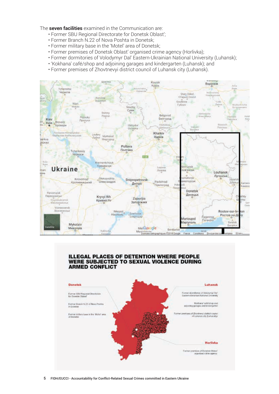The **seven facilities** examined in the Communication are:

- Former SBU Regional Directorate for Donetsk Oblast';
- Former Branch N.22 of Nova Poshta in Donetsk;
- Former military base in the 'Motel' area of Donetsk;
- Former premises of Donetsk Oblast' organised crime agency (Horlivka);
- Former dormitories of Volodymyr Dal' Eastern-Ukrainian National University (Luhansk);
- 'Kokhana' café/shop and adjoining garages and kindergarten (Luhansk); and
- Former premises of Zhovtnevyi district council of Luhansk city (Luhansk).



#### **ILLEGAL PLACES OF DETENTION WHERE PEOPLE WERE SUBJECTED TO SEXUAL VIOLENCE DURING ARMED CONFLICT**

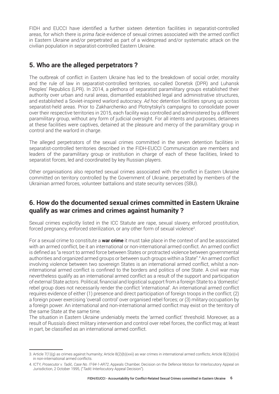FIDH and EUCCI have identified a further sixteen detention facilities in separatist-controlled areas, for which there is *prima facie* evidence of sexual crimes associated with the armed conflict in Eastern Ukraine and/or perpetrated as part of a widespread and/or systematic attack on the civilian population in separatist-controlled Eastern Ukraine.

#### **5. Who are the alleged perpetrators ?**

The outbreak of conflict in Eastern Ukraine has led to the breakdown of social order, morality and the rule of law in separatist-controlled territories, so-called Donetsk (DPR) and Luhansk Peoples' Republics (LPR). In 2014, a plethora of separatist paramilitary groups established their authority over urban and rural areas, dismantled established legal and administrative structures, and established a Soviet-inspired warlord autocracy. *Ad hoc* detention facilities sprung up across separatist-held areas. Prior to Zakharchenko and Plotnytskyi's campaigns to consolidate power over their respective territories in 2015, each facility was controlled and administered by a different paramilitary group, without any form of judicial oversight. For all intents and purposes, detainees at these facilities were captives, detained at the pleasure and mercy of the paramilitary group in control and the warlord in charge.

The alleged perpetrators of the sexual crimes committed in the seven detention facilities in separatist-controlled territories described in the FIDH-EUCCI Communication are members and leaders of the paramilitary group or institution in charge of each of these facilities, linked to separatist forces, led and coordinated by key Russian players.

Other organisations also reported sexual crimes associated with the conflict in Eastern Ukraine committed on territory controlled by the Government of Ukraine, perpetrated by members of the Ukrainian armed forces, volunteer battalions and state security services (SBU).

#### **6. How do the documented sexual crimes committed in Eastern Ukraine qualify as war crimes and crimes against humanity ?**

Sexual crimes explicitly listed in the ICC Statute are rape, sexual slavery, enforced prostitution, forced pregnancy, enforced sterilization, or any other form of sexual violence<sup>3</sup>.

For a sexual crime to constitute a **war crime** it must take place in the context of and be associated with an armed conflict, be it an international or non-international armed conflict. An armed conflict is defined as "a resort to armed force between States or protracted violence between governmental authorities and organized armed groups or between such groups within a State".<sup>4</sup> An armed conflict involving violence between two sovereign States is an international armed conflict, whilst a noninternational armed conflict is confined to the borders and politics of one State. A civil war may nevertheless qualify as an international armed conflict as a result of the support and participation of external State actors. Political, financial and logistical support from a foreign State to a 'domestic' rebel group does not necessarily render the conflict 'international'. An international armed conflict requires evidence of either (1) presence and direct participation of foreign troops in the conflict; (2) a foreign power exercising 'overall control' over organised rebel forces; or (3) military occupation by a foreign power. An international and non-international armed conflict may exist on the territory of the same State at the same time.

The situation in Eastern Ukraine undeniably meets the 'armed conflict' threshold. Moreover, as a result of Russia's direct military intervention and control over rebel forces, the conflict may, at least in part, be classified as an international armed conflict.

<sup>3.</sup> Article 7(1)(g) as crimes against humanity; Article 8(2)(b)(xxii) as war crimes in international armed conflicts; Article 8(2)(e)(vi) in non-international armed conflicts.

<sup>4.</sup> ICTY, *Prosecutor v. Tadi*ć, *Case No. IT-94-1-AR72*, Appeals Chamber, Decision on the Defence Motion for Interlocutory Appeal on Jurisdiction, 2 October 1995, ("*Tadi*ć Interlocutory Appeal Decision").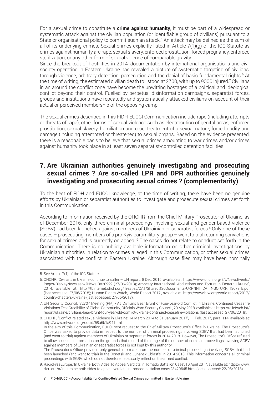For a sexual crime to constitute a **crime against humanity**, it must be part of a widespread or systematic attack against the civilian population (or identifiable group of civilians) pursuant to a State or organisational policy to commit such an attack.<sup>5</sup> An attack may be defined as the sum of all of its underlying crimes. Sexual crimes explicitly listed in Article  $7(1)(q)$  of the ICC Statute as crimes against humanity are rape, sexual slavery, enforced prostitution, forced pregnancy, enforced sterilization, or any other form of sexual volence of comparable gravity.

Since the breakout of hostilities in 2014, documentation by international organisations and civil society operating in Eastern Ukraine has revealed a picture of systematic targeting of civilians, through violence, arbitrary detention, persecution and the denial of basic fundamental rights.6 At the time of writing, the estimated civilian death toll stood at 2700, with up to 9000 injured.7 Civilians in an around the conflict zone have become the unwitting hostages of a political and ideological conflict beyond their control. Fuelled by perpetual disinformation campaigns, separatist forces, groups and institutions have repeatedly and systematically attacked civilians on account of their actual or perceived membership of the opposing camp.

The sexual crimes described in this FIDH-EUCCI Communication include rape (including attempts or threats of rape), other forms of sexual violence such as electrocution of genital areas, enforced prostitution, sexual slavery, humiliation and cruel treatment of a sexual nature, forced nudity and damage (including attempted or threatened) to sexual organs. Based on the evidence presented, there is a reasonable basis to believe that sexual crimes amounting to war crimes and/or crimes against humanity took place in at least seven separatist-controlled detention facilities.

#### **7. Are Ukrainian authorities genuinely investigating and prosecuting sexual crimes ? Are so-called LPR and DPR authorities genuinely investigating and prosecuting sexual crimes ? (complementarity)**

To the best of FIDH and EUCCI knowledge, at the time of writing, there have been no genuine efforts by Ukrainian or separatist authorities to investigate and prosecute sexual crimes set forth in this Communication.

According to information received by the OHCHR from the Chief Military Prosecutor of Ukraine, as of December 2016, only three criminal proceedings involving sexual and gender-based violence (SGBV) had been launched against members of Ukrainian or separatist forces.<sup>8</sup> Only one of these cases – prosecuting members of a pro-Kyiv paramilitary group – went to trial returning convictions for sexual crimes and is currently on appeal.<sup>9</sup> The cases do not relate to conduct set forth in the Communication. There is no publicly available information on other criminal investigations by Ukrainian authorities in relation to crimes alleged in this Communication, or other sexual crimes associated with the conflict in Eastern Ukraine. Although case files may have been nominally

<sup>5.</sup> See Article 7(1) of the ICC Statute.

<sup>6.</sup> OHCHR, 'Civilians in Ukraine continue to suffer – UN report', 8 Dec. 2016, available at: [https://www.ohchr.org/EN/NewsEvents/](https://www.ohchr.org/EN/NewsEvents/Pages/DisplayNews.aspx?NewsID=20999) [Pages/DisplayNews.aspx?NewsID=20999](https://www.ohchr.org/EN/NewsEvents/Pages/DisplayNews.aspx?NewsID=20999) (27/06/2018); Amnesty International, 'Abductions and Torture in Eastern Ukraine', 2014, available at: [http://tbinternet.ohchr.org/Treaties/CAT/Shared%20Documents/UKR/INT\\_CAT\\_NGO\\_UKR\\_18677\\_E.pdf](http://tbinternet.ohchr.org/Treaties/CAT/Shared Documents/UKR/INT_CAT_NGO_UKR_18677_E.pdf) (last accessed: 27/06/2018); Human Rights Watch, 'World Report 2017', available at: [https://www.hrw.org/world-report/2017/](https://www.hrw.org/world-report/2017/country-chapters/ukraine) [country-chapters/ukraine](https://www.hrw.org/world-report/2017/country-chapters/ukraine) (last accessed: 27/06/2018).

<sup>7.</sup> UN Security Council, '8270<sup>th</sup> Meeting (PM) - As Civilians Bear Brunt of Four-year-old Conflict in Ukraine, Continued Ceasefire Violations Test Credibility of Global Community, Officials Warn Security Council', 29 May 2018, available at: [https://reliefweb.int/](https://reliefweb.int/report/ukraine/civilians-bear-brunt-four-year-old-conflict-ukraine-continued-ceasefire-violations) [report/ukraine/civilians-bear-brunt-four-year-old-conflict-ukraine-continued-ceasefire-violations](https://reliefweb.int/report/ukraine/civilians-bear-brunt-four-year-old-conflict-ukraine-continued-ceasefire-violations) (last accessed: 27/06/2018).

<sup>8.</sup> OHCHR, 'Conflict-related sexual violence in Ukraine: 14 March 2014 to 31 January 2017', 11 Feb. 2017, para. 114, available at: <http://www.refworld.org/docid/58a6b1a94.html>.

In the aim of this Communication, EUCCI sent request to the Chief Military Prosecutor's Office in Ukraine. The Prosecutor's Office was asked to provide data in respect to the number of criminal proceedings involving SGBV that had been launched (and went to trial) against members of Ukrainian or separatist forces in 2014-2018. However, The Prosecutor's Office refused to allow access to information on the grounds that record of the range of the number of criminal proceedings involving SGBV against members of Ukrainian or separatist forces is not kept by this authority.

The Prosecutor's Office provided only general information on the number of criminal proceedings involving SGBV that had been launched (and went to trial) in the Donetsk and Luhansk Oblast's' in 2014-2018. This information concerns all criminal proceedings with SGBV, which do not therefore necessarily reflect on the armed conflict.

<sup>9.</sup> RadioFreeEurope, 'In Ukraine, Both Sides To Appeal Verdicts In Tornado Battalion Case', 10 April 2017, available at: [https://www.](https://www.rferl.org/a/in-ukraine-both-sides-to-appeal-verdicts-in-tornado-battalion-case/28420645.html) [rferl.org/a/in-ukraine-both-sides-to-appeal-verdicts-in-tornado-battalion-case/28420645.html](https://www.rferl.org/a/in-ukraine-both-sides-to-appeal-verdicts-in-tornado-battalion-case/28420645.html) (last accessed: 22/06/2018).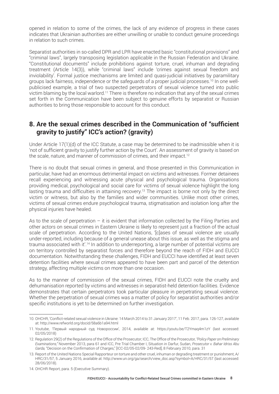opened in relation to some of the crimes, the lack of any evidence of progress in these cases indicates that Ukrainian authorities are either unwilling or unable to conduct genuine proceedings in relation to such crimes.

Separatist authorities in so-called DPR and LPR have enacted basic "constitutional provisions" and "criminal laws", largely transposing legislation applicable in the Russian Federation and Ukraine. "Constitutional documents" include prohibitions against torture, cruel, inhuman and degrading treatment (Article 14(3)), while "criminal laws" include 'crimes against sexual freedom and inviolability'. Formal justice mechanisms are limited and quasi-judicial initiatives by paramilitary groups lack fairness, independence or the safeguards of a proper judicial processes.10 In one wellpublicised example, a trial of two suspected perpetrators of sexual violence turned into public victim blaming by the local warlord.<sup>11</sup> There is therefore no indication that any of the sexual crimes set forth in the Communication have been subject to genuine efforts by separatist or Russian authorities to bring those responsible to account for this conduct.

#### **8. Are the sexual crimes described in the Communication of "sufficient gravity to justify" ICC's action? (gravity)**

Under Article 17(1)(d) of the ICC Statute, a case may be determined to be inadmissible when it is 'not of sufficient gravity to justify further action by the Court'. An assessment of gravity is based on the scale, nature, and manner of commission of crimes, and their impact.<sup>12</sup>

There is no doubt that sexual crimes in general, and those presented in this Communication in particular, have had an enormous detrimental impact on victims and witnesses. Former detainees recall experiencing and witnessing acute physical and psychological trauma. Organisations providing medical, psychological and social care for victims of sexual violence highlight the long lasting trauma and difficulties in attaining recovery.<sup>13</sup> The impact is borne not only by the direct victim or witness, but also by the families and wider communities. Unlike most other crimes, victims of sexual crimes endure psychological trauma, stigmatisation and isolation long after the physical injuries have healed.

As to the scale of perpetration  $-$  it is evident that information collected by the Filing Parties and other actors on sexual crimes in Eastern Ukraine is likely to represent just a fraction of the actual scale of perpetration. According to the United Nations, '[c]ases of sexual violence are usually under-reported, including because of a general unease about this issue, as well as the stigma and trauma associated with it'.<sup>14</sup> In addition to underreporting, a large number of potential victims are on territory controlled by separatist forces and therefore beyond the reach of FIDH and EUCCI documentation. Notwithstanding these challenges, FIDH and EUCCI have identified at least seven detention facilities where sexual crimes appeared to have been part and parcel of the detention strategy, affecting multiple victims on more than one occasion.

As to the manner of commission of the sexual crimes, FIDH and EUCCI note the cruelty and dehumanisation reported by victims and witnesses in separatist-held detention facilities. Evidence demonstrates that certain perpetrators took particular pleasure in perpetrating sexual violence. Whether the perpetration of sexual crimes was a matter of policy for separatist authorities and/or specific institutions is yet to be determined on further investigation.

<sup>10.</sup> OHCHR, 'Conflict-related sexual violence in Ukraine: 14 March 2014 to 31 January 2017', 11 Feb. 2017, para. 126-127, available at: <http://www.refworld.org/docid/58a6b1a94.html>

<sup>11.</sup> Youtube, 'Первый народный суд Новороссии', 2014, available at: <https://youtu.be/T2Ymaq4m1zY> (last accessed: 02/05/2018)

<sup>12.</sup> Regulation 29(2) of the Regulations of the Office of the Prosecutor; ICC, The Office of the Prosecutor, *"Policy Paper on Preliminary Examinations,"* November 2013, para 61 and ICC, Pre Trial Chamber I, Situation in Darfur, Sudan, *Prosecutor v. Bahar Idriss Abu Garda,* "Decision on the Confirmation of Charges," [ICC-02/05-02/09- 243-Red], 8 February 2010, para. 31

<sup>13.</sup> Report of the United Nations Special Rapporteur on torture and other cruel, inhuman or degrading treatment or punishment, A/ HRC/31/57, 5 January 2016, available at: http://www.un.org/ga/search/view\_doc.asp?symbol=A/HRC/31/57 (last accessed: 28/06/2018).

<sup>14.</sup> OHCHR Report, para. 5 (Executive Summary).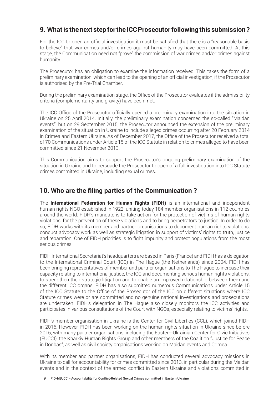#### **9. What is the next step for the ICC Prosecutor following this submission?**

For the ICC to open an official investigation it must be satisfied that there is a "reasonable basis to believe" that war crimes and/or crimes against humanity may have been committed. At this stage, the Communication need not "prove" the commission of war crimes and/or crimes against humanity.

The Prosecutor has an obligation to examine the information received. This takes the form of a preliminary examination, which can lead to the opening of an official investigation, if the Prosecutor is authorised by the Pre-Trial Chamber.

During the preliminary examination stage, the Office of the Prosecutor evaluates if the admissibility criteria (complementarity and gravity) have been met.

The ICC Office of the Prosecutor officially opened a preliminary examination into the situation in Ukraine on 25 April 2014. Initially, the preliminary examination concerned the so-called "Maidan events", but on 29 September 2015, the Prosecutor announced the extension of the preliminary examination of the situation in Ukraine to include alleged crimes occurring after 20 February 2014 in Crimea and Eastern Ukraine. As of December 2017, the Office of the Prosecutor received a total of 70 Communications under Article 15 of the ICC Statute in relation to crimes alleged to have been committed since 21 November 2013.

This Communication aims to support the Prosecutor's ongoing preliminary examination of the situation in Ukraine and to persuade the Prosecutor to open of a full investigation into ICC Statute crimes committed in Ukraine, including sexual crimes.

#### **10. Who are the filing parties of the Communication ?**

The **International Federation for Human Rights (FIDH)** is an international and independent human rights NGO established in 1922, uniting today 184 member organisations in 112 countries around the world. FIDH's mandate is to take action for the protection of victims of human rights violations, for the prevention of these violations and to bring perpetrators to justice. In order to do so, FIDH works with its member and partner organisations to document human rights violations, conduct advocacy work as well as strategic litigation in support of victims' rights to truth, justice and reparation. One of FIDH priorities is to fight impunity and protect populations from the most serious crimes.

FIDH International Secretariat's headquarters are based in Paris (France) and FIDH has a delegation to the International Criminal Court (ICC) in The Hague (the Netherlands) since 2004. FIDH has been bringing representatives of member and partner organisations to The Hague to increase their capacity relating to international justice, the ICC and documenting serious human rights violations, to strengthen their strategic litigation and to enable an improved relationship between them and the different ICC organs. FIDH has also submitted numerous Communications under Article 15 of the ICC Statute to the Office of the Prosecutor of the ICC on different situations where ICC Statute crimes were or are committed and no genuine national investigations and prosecutions are undertaken. FIDH's delegation in The Hague also closely monitors the ICC activities and participates in various consultations of the Court with NGOs, especially relating to victims' rights.

FIDH's member organisation in Ukraine is the Center for Civil Liberties (CCL), which joined FIDH in 2016. However, FIDH has been working on the human rights situation in Ukraine since before 2016, with many partner organisations, including the Eastern-Ukrainian Center for Civic Initiatives (EUCCI), the Kharkiv Human Rights Group and other members of the Coalition "Justice for Peace in Donbas", as well as civil society organisations working on Maidan events and Crimea.

With its member and partner organisations, FIDH has conducted several advocacy missions in Ukraine to call for accountability for crimes committed since 2013, in particular during the Maidan events and in the context of the armed conflict in Eastern Ukraine and violations committed in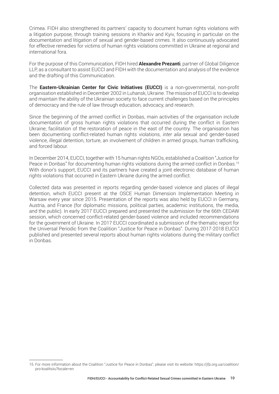Crimea. FIDH also strengthened its partners' capacity to document human rights violations with a litigation purpose, through training sessions in Kharkiv and Kyiv, focusing in particular on the documentation and litigation of sexual and gender-based crimes. It also continuously advocated for effective remedies for victims of human rights violations committed in Ukraine at regional and international fora.

For the purpose of this Communication, FIDH hired **Alexandre Prezanti**, partner of Global Diligence LLP, as a consultant to assist EUCCI and FIDH with the documentation and analysis of the evidence and the drafting of this Communication.

The **Eastern-Ukrainian Center for Civic Initiatives (EUCCI)** is a non-governmental, non-profit organisation established in December 2002 in Luhansk, Ukraine. The mission of EUCCI is to develop and maintain the ability of the Ukrainian society to face current challenges based on the principles of democracy and the rule of law through education, advocacy, and research.

Since the beginning of the armed conflict in Donbas, main activities of the organisation include documentation of gross human rights violations that occurred during the conflict in Eastern Ukraine; facilitation of the restoration of peace in the east of the country. The organisation has been documenting conflict-related human rights violations, *inter alia* sexual and gender-based violence, illegal detention, torture, an involvement of children in armed groups, human trafficking, and forced labour.

In December 2014, EUCCI, together with 15 human rights NGOs, established a Coalition "Justice for Peace in Donbas" for documenting human rights violations during the armed conflict in Donbas.15 With donor's support, EUCCI and its partners have created a joint electronic database of human rights violations that occurred in Eastern Ukraine during the armed conflict.

Collected data was presented in reports regarding gender-based violence and places of illegal detention, which EUCCI present at the OSCE Human Dimension Implementation Meeting in Warsaw every year since 2015. Presentation of the reports was also held by EUCCI in Germany, Austria, and France (for diplomatic missions, political parties, academic institutions, the media, and the public). In early 2017 EUCCI prepared and presented the submission for the 66th CEDAW session, which concerned conflict-related gender-based violence and included recommendations for the government of Ukraine. In 2017 EUCCI coordinated a submission of the thematic report for the Universal Periodic from the Coalition "Justice for Peace in Donbas". During 2017-2018 EUCCI published and presented several reports about human rights violations during the military conflict in Donbas.

<sup>15.</sup> For more information about the Coalition "Justice for Peace in Donbas", please visit its website: https://jfp.org.ua/coalition/ pro-koalitsiiu?locale=en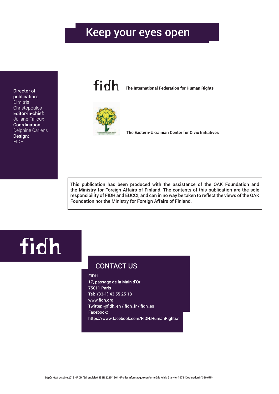### Keep your eyes open

fidh

**The International Federation for Human Rights** 



**The Eastern-Ukrainian Center for Civic Initiatives**

This publication has been produced with the assistance of the OAK Foundation and the Ministry for Foreign Affairs of Finland. The contents of this publication are the sole responsibility of FIDH and EUCCI, and can in no way be taken to reflect the views of the OAK Foundation nor the Ministry for Foreign Affairs of Finland.

## fidh

#### CONTACT US

#### FIDH

17, passage de la Main d'Or 75011 Paris Tel: (33-1) 43 55 25 18 <www.fidh.org> Twitter: @fidh\_en / fidh\_fr / fidh\_es Facebook: https://www.facebook.com/FIDH.HumanRights/

Director of publication: **Dimitris Christopoulos** Editor-in-chief: Juliane Falloux Coordination: Delphine Carlens

Design: FIDH